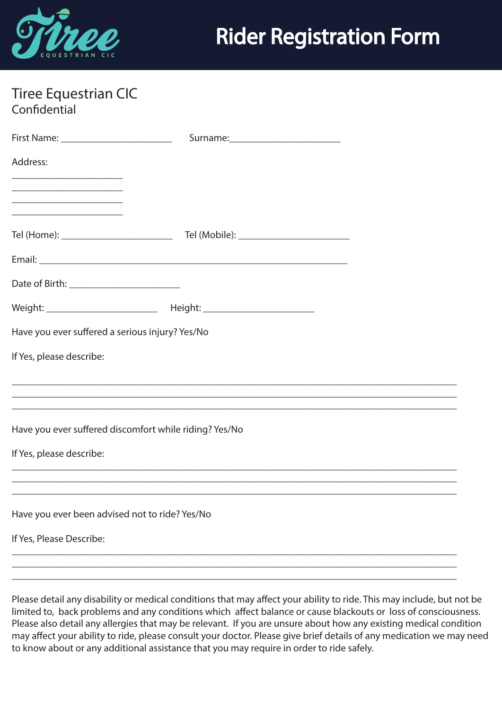

|              | Tiree Equestrian CIC |  |
|--------------|----------------------|--|
| Confidential |                      |  |

| Address:                                                                                                                                                                                                                                       |                                                                                  |  |
|------------------------------------------------------------------------------------------------------------------------------------------------------------------------------------------------------------------------------------------------|----------------------------------------------------------------------------------|--|
| <u> 2002 - Johann John Stor, mars and de British and de British and de British and de British and de British and </u><br><u> 1989 - Johann John Stone, mars eta bat eta bat erroman erroman erroman erroman erroman erroman erroman erroma</u> |                                                                                  |  |
| <u> 1980 - Johann Stein, marwolaethau a bhann an t-Amhair an t-Amhair an t-Amhair an t-Amhair an t-Amhair an t-A</u>                                                                                                                           |                                                                                  |  |
|                                                                                                                                                                                                                                                |                                                                                  |  |
|                                                                                                                                                                                                                                                |                                                                                  |  |
|                                                                                                                                                                                                                                                | Weight: ____________________________  Height: __________________________________ |  |
| Have you ever suffered a serious injury? Yes/No                                                                                                                                                                                                |                                                                                  |  |
| If Yes, please describe:                                                                                                                                                                                                                       |                                                                                  |  |
|                                                                                                                                                                                                                                                |                                                                                  |  |
|                                                                                                                                                                                                                                                |                                                                                  |  |
|                                                                                                                                                                                                                                                | Have you ever suffered discomfort while riding? Yes/No                           |  |
| If Yes, please describe:                                                                                                                                                                                                                       |                                                                                  |  |
|                                                                                                                                                                                                                                                |                                                                                  |  |
|                                                                                                                                                                                                                                                |                                                                                  |  |
| Have you ever been advised not to ride? Yes/No                                                                                                                                                                                                 |                                                                                  |  |
| If Yes, Please Describe:                                                                                                                                                                                                                       |                                                                                  |  |
|                                                                                                                                                                                                                                                |                                                                                  |  |
|                                                                                                                                                                                                                                                |                                                                                  |  |

Please detail any disability or medical conditions that may affect your ability to ride. This may include, but not be limited to, back problems and any conditions which affect balance or cause blackouts or loss of consciousness. Please also detail any allergies that may be relevant. If you are unsure about how any existing medical condition may affect your ability to ride, please consult your doctor. Please give brief details of any medication we may need to know about or any additional assistance that you may require in order to ride safely.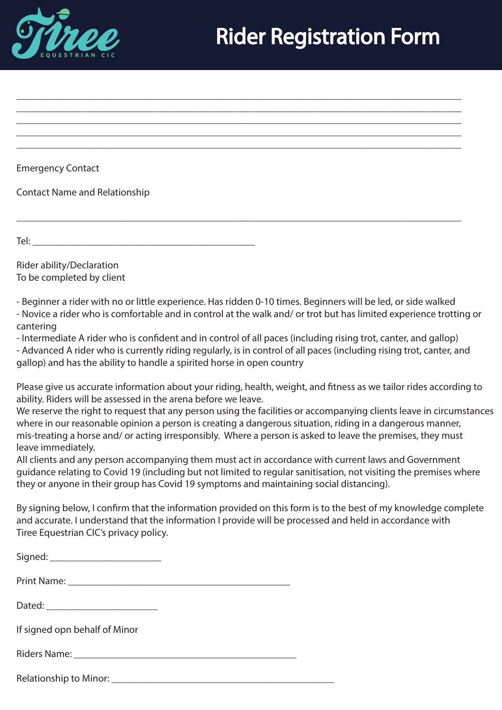

Emergency Contact

Contact Name and Relationship

Tel:  $\Box$ 

Rider ability/Declaration To be completed by client

- Beginner a rider with no or little experience. Has ridden 0-10 times. Beginners will be led, or side walked

\_\_\_\_\_\_\_\_\_\_\_\_\_\_\_\_\_\_\_\_\_\_\_\_\_\_\_\_\_\_\_\_\_\_\_\_\_\_\_\_\_\_\_\_\_\_\_\_\_\_\_\_\_\_\_\_\_\_\_\_\_\_\_\_\_\_\_\_\_\_\_\_\_\_\_\_\_\_\_\_\_\_\_\_\_\_\_\_ \_\_\_\_\_\_\_\_\_\_\_\_\_\_\_\_\_\_\_\_\_\_\_\_\_\_\_\_\_\_\_\_\_\_\_\_\_\_\_\_\_\_\_\_\_\_\_\_\_\_\_\_\_\_\_\_\_\_\_\_\_\_\_\_\_\_\_\_\_\_\_\_\_\_\_\_\_\_\_\_\_\_\_\_\_\_\_\_ \_\_\_\_\_\_\_\_\_\_\_\_\_\_\_\_\_\_\_\_\_\_\_\_\_\_\_\_\_\_\_\_\_\_\_\_\_\_\_\_\_\_\_\_\_\_\_\_\_\_\_\_\_\_\_\_\_\_\_\_\_\_\_\_\_\_\_\_\_\_\_\_\_\_\_\_\_\_\_\_\_\_\_\_\_\_\_\_

\_\_\_\_\_\_\_\_\_\_\_\_\_\_\_\_\_\_\_\_\_\_\_\_\_\_\_\_\_\_\_\_\_\_\_\_\_\_\_\_\_\_\_\_\_\_\_\_\_\_\_\_\_\_\_\_\_\_\_\_\_\_\_\_\_\_\_\_\_\_\_\_\_\_\_\_\_\_\_\_\_\_\_\_\_\_\_\_

\_\_\_\_\_\_\_\_\_\_\_\_\_\_\_\_\_\_\_\_\_\_\_\_\_\_\_\_\_\_\_\_\_\_\_\_\_\_\_\_\_\_\_\_\_\_\_\_\_\_\_\_\_\_\_\_\_\_\_\_\_\_\_\_\_\_\_\_\_\_\_\_\_\_\_\_\_\_\_\_\_\_\_\_\_\_\_\_

- Novice a rider who is comfortable and in control at the walk and/ or trot but has limited experience trotting or cantering

- Intermediate A rider who is confident and in control of all paces (including rising trot, canter, and gallop)

- Advanced A rider who is currently riding regularly, is in control of all paces (including rising trot, canter, and gallop) and has the ability to handle a spirited horse in open country

Please give us accurate information about your riding, health, weight, and fitness as we tailor rides according to ability. Riders will be assessed in the arena before we leave.

We reserve the right to request that any person using the facilities or accompanying clients leave in circumstances where in our reasonable opinion a person is creating a dangerous situation, riding in a dangerous manner, mis-treating a horse and/ or acting irresponsibly. Where a person is asked to leave the premises, they must leave immediately.

All clients and any person accompanying them must act in accordance with current laws and Government guidance relating to Covid 19 (including but not limited to regular sanitisation, not visiting the premises where they or anyone in their group has Covid 19 symptoms and maintaining social distancing).

By signing below, I confirm that the information provided on this form is to the best of my knowledge complete and accurate. I understand that the information I provide will be processed and held in accordance with Tiree Equestrian CIC's privacy policy.

| Signed: ________________________ |  |
|----------------------------------|--|
|                                  |  |
|                                  |  |
| If signed opn behalf of Minor    |  |
|                                  |  |
| <b>Relationship to Minor:</b>    |  |